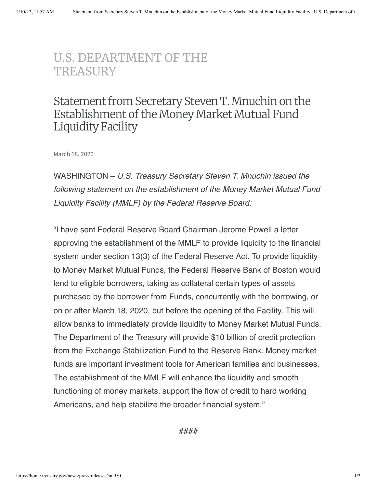## [U.S. DEPARTMENT](https://home.treasury.gov/) OF THE **TREASURY**

## Statement from Secretary Steven T. Mnuchin on the Establishment of the Money Market Mutual Fund Liquidity Facility

March 18, 2020

WASHINGTON – *U.S. Treasury Secretary Steven T. Mnuchin issued the following statement on the establishment of the Money Market Mutual Fund Liquidity Facility (MMLF) by the Federal Reserve Board:*

"I have sent Federal Reserve Board Chairman Jerome Powell a letter approving the establishment of the MMLF to provide liquidity to the financial system under section 13(3) of the Federal Reserve Act. To provide liquidity to Money Market Mutual Funds, the Federal Reserve Bank of Boston would lend to eligible borrowers, taking as collateral certain types of assets purchased by the borrower from Funds, concurrently with the borrowing, or on or after March 18, 2020, but before the opening of the Facility. This will allow banks to immediately provide liquidity to Money Market Mutual Funds. The Department of the Treasury will provide \$10 billion of credit protection from the Exchange Stabilization Fund to the Reserve Bank. Money market funds are important investment tools for American families and businesses. The establishment of the MMLF will enhance the liquidity and smooth functioning of money markets, support the flow of credit to hard working Americans, and help stabilize the broader financial system."

####